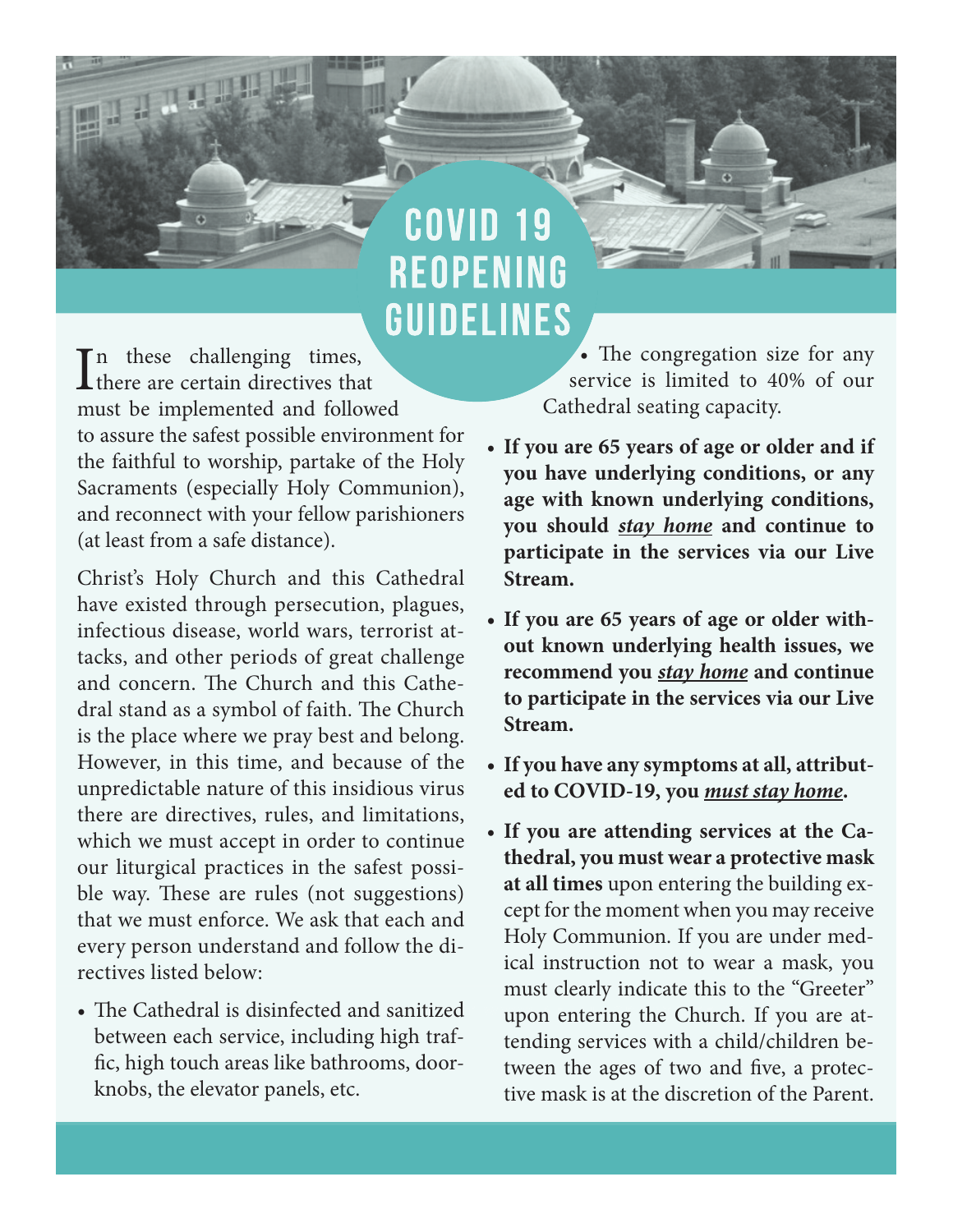## **COVID REOPENING GUIDELINES**

 $\prod_{\text{there are certain directions} }$  times, n these challenging times, must be implemented and followed to assure the safest possible environment for the faithful to worship, partake of the Holy Sacraments (especially Holy Communion), and reconnect with your fellow parishioners (at least from a safe distance).

Christ's Holy Church and this Cathedral have existed through persecution, plagues, infectious disease, world wars, terrorist attacks, and other periods of great challenge and concern. The Church and this Cathedral stand as a symbol of faith. The Church is the place where we pray best and belong. However, in this time, and because of the unpredictable nature of this insidious virus there are directives, rules, and limitations, which we must accept in order to continue our liturgical practices in the safest possible way. These are rules (not suggestions) that we must enforce. We ask that each and every person understand and follow the directives listed below:

• The Cathedral is disinfected and sanitized between each service, including high traf fic, high touch areas like bathrooms, doorknobs, the elevator panels, etc.

• The congregation size for any service is limited to 40% of our Cathedral seating capacity.

- **If you are 65 years of age or older and if you have underlying conditions, or any age with known underlying conditions, you should** *stay home* **and continue to participate in the services via our Live Stream.**
- **If you are 65 years of age or older without known underlying health issues, we recommend you** *stay home* **and continue to participate in the services via our Live Stream.**
- **If you have any symptoms at all, attributed to COVID-19, you** *must stay home***.**
- **If you are attending services at the Cathedral, you must wear a protective mask at all times** upon entering the building except for the moment when you may receive Holy Communion. If you are under medical instruction not to wear a mask, you must clearly indicate this to the "Greeter" upon entering the Church. If you are attending services with a child/children between the ages of two and five, a protective mask is at the discretion of the Parent.